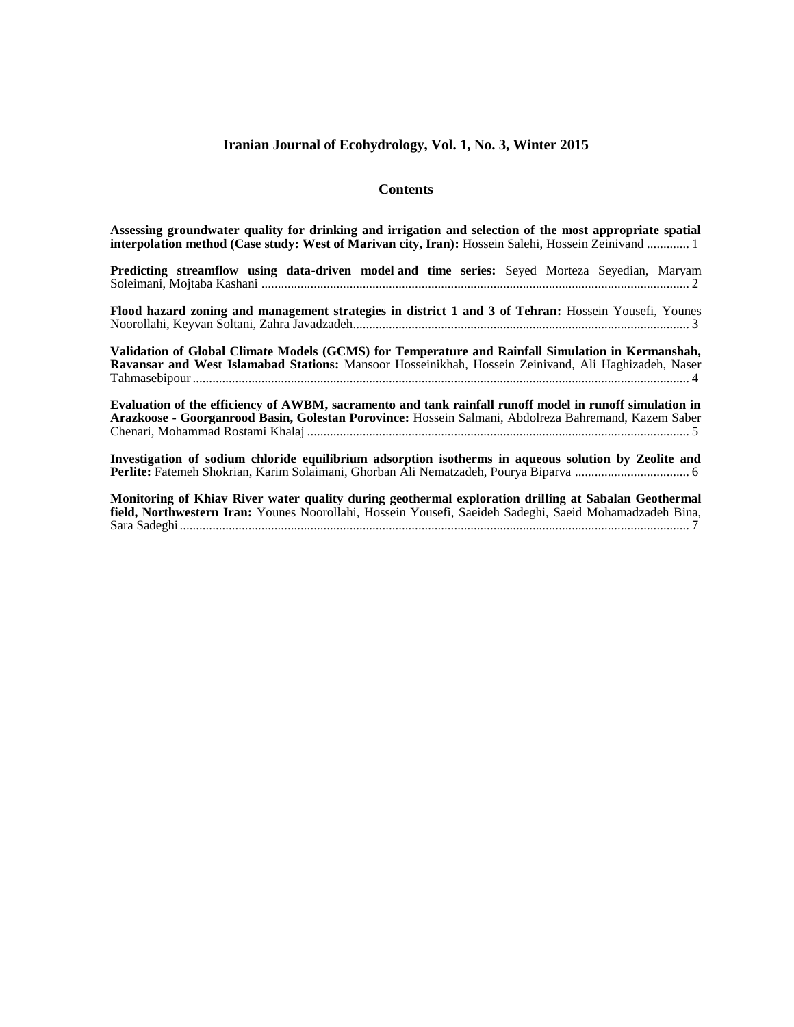#### **Iranian Journal of Ecohydrology, Vol. 1, No. 3, Winter 2015**

#### **Contents**

| Assessing groundwater quality for drinking and irrigation and selection of the most appropriate spatial<br>interpolation method (Case study: West of Marivan city, Iran): Hossein Salehi, Hossein Zeinivand 1   |
|-----------------------------------------------------------------------------------------------------------------------------------------------------------------------------------------------------------------|
| Predicting streamflow using data-driven model and time series: Seyed Morteza Seyedian, Maryam                                                                                                                   |
| Flood hazard zoning and management strategies in district 1 and 3 of Tehran: Hossein Yousefi, Younes                                                                                                            |
| Validation of Global Climate Models (GCMS) for Temperature and Rainfall Simulation in Kermanshah,<br>Ravansar and West Islamabad Stations: Mansoor Hosseinikhah, Hossein Zeinivand, Ali Haghizadeh, Naser       |
| Evaluation of the efficiency of AWBM, sacramento and tank rainfall runoff model in runoff simulation in<br>Arazkoose - Goorganrood Basin, Golestan Porovince: Hossein Salmani, Abdolreza Bahremand, Kazem Saber |

**Investigation of sodium chloride equilibrium adsorption isotherms in aqueous solution by Zeolite and Perlite:** Fatemeh Shokrian, Karim Solaimani, Ghorban Ali Nematzadeh, Pourya Biparva ................................... 6

**Monitoring of Khiav River water quality during geothermal exploration drilling at Sabalan Geothermal field, Northwestern Iran:** Younes Noorollahi, Hossein Yousefi, Saeideh Sadeghi, Saeid Mohamadzadeh Bina, Sara Sadeghi............................................................................................................................................................ 7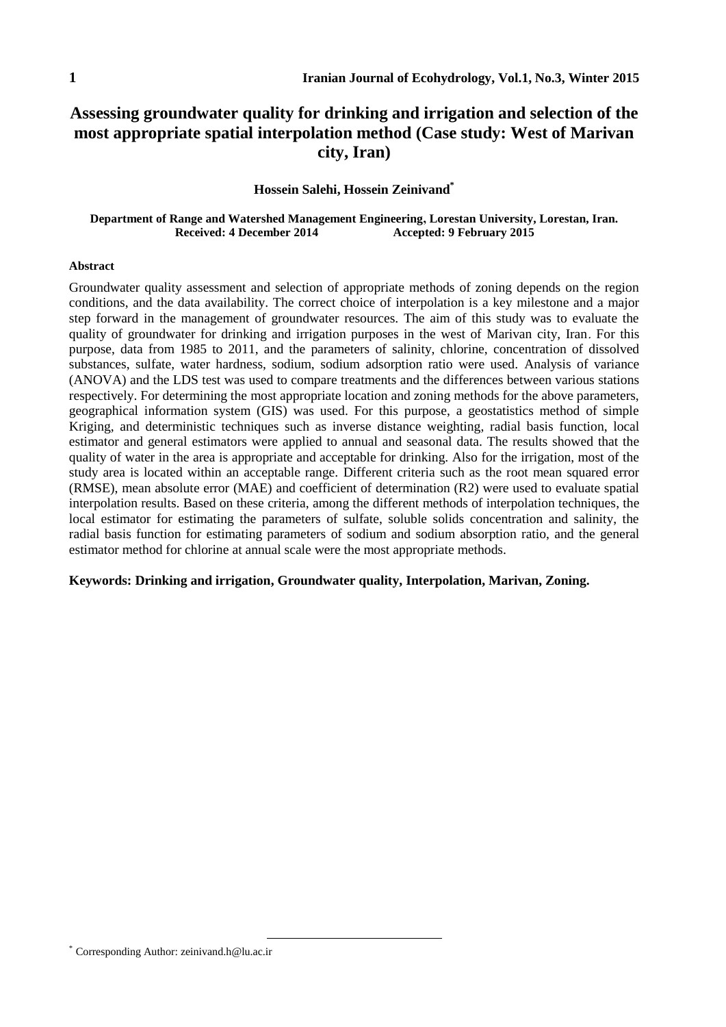# **Assessing groundwater quality for drinking and irrigation and selection of the most appropriate spatial interpolation method (Case study: West of Marivan city, Iran)**

### **Hossein Salehi, Hossein Zeinivand\***

#### **Department of Range and Watershed Management Engineering, Lorestan University, Lorestan, Iran. Received: 4 December 2014 Accepted: 9 February 2015**

#### **Abstract**

Groundwater quality assessment and selection of appropriate methods of zoning depends on the region conditions, and the data availability. The correct choice of interpolation is a key milestone and a major step forward in the management of groundwater resources. The aim of this study was to evaluate the quality of groundwater for drinking and irrigation purposes in the west of Marivan city, Iran. For this purpose, data from 1985 to 2011, and the parameters of salinity, chlorine, concentration of dissolved substances, sulfate, water hardness, sodium, sodium adsorption ratio were used. Analysis of variance (ANOVA) and the LDS test was used to compare treatments and the differences between various stations respectively. For determining the most appropriate location and zoning methods for the above parameters, geographical information system (GIS) was used. For this purpose, a geostatistics method of simple Kriging, and deterministic techniques such as inverse distance weighting, radial basis function, local estimator and general estimators were applied to annual and seasonal data. The results showed that the quality of water in the area is appropriate and acceptable for drinking. Also for the irrigation, most of the study area is located within an acceptable range. Different criteria such as the root mean squared error (RMSE), mean absolute error (MAE) and coefficient of determination (R2) were used to evaluate spatial interpolation results. Based on these criteria, among the different methods of interpolation techniques, the local estimator for estimating the parameters of sulfate, soluble solids concentration and salinity, the radial basis function for estimating parameters of sodium and sodium absorption ratio, and the general estimator method for chlorine at annual scale were the most appropriate methods.

### **Keywords: Drinking and irrigation, Groundwater quality, Interpolation, Marivan, Zoning.**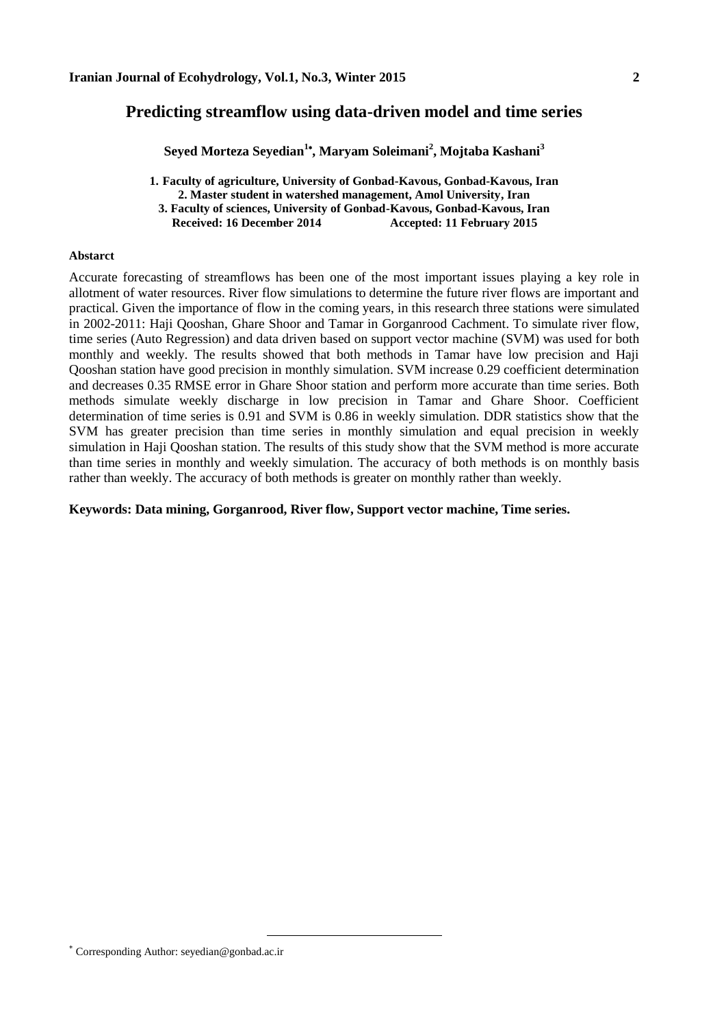# **Predicting streamflow using data-driven model and time series**

**Seyed Morteza Seyedian<sup>1</sup> , Maryam Soleimani<sup>2</sup> , Mojtaba Kashani<sup>3</sup>**

**1. Faculty of agriculture, University of Gonbad-Kavous, Gonbad-Kavous, Iran 2. Master student in watershed management, Amol University, Iran 3. Faculty of sciences, University of Gonbad-Kavous, Gonbad-Kavous, Iran Received: 16 December 2014 Accepted: 11 February 2015**

#### **Abstarct**

Accurate forecasting of streamflows has been one of the most important issues playing a key role in allotment of water resources. River flow simulations to determine the future river flows are important and practical. Given the importance of flow in the coming years, in this research three stations were simulated in 2002-2011: Haji Qooshan, Ghare Shoor and Tamar in Gorganrood Cachment. To simulate river flow, time series (Auto Regression) and data driven based on support vector machine (SVM) was used for both monthly and weekly. The results showed that both methods in Tamar have low precision and Haji Qooshan station have good precision in monthly simulation. SVM increase 0.29 coefficient determination and decreases 0.35 RMSE error in Ghare Shoor station and perform more accurate than time series. Both methods simulate weekly discharge in low precision in Tamar and Ghare Shoor. Coefficient determination of time series is 0.91 and SVM is 0.86 in weekly simulation. DDR statistics show that the SVM has greater precision than time series in monthly simulation and equal precision in weekly simulation in Haji Qooshan station. The results of this study show that the SVM method is more accurate than time series in monthly and weekly simulation. The accuracy of both methods is on monthly basis rather than weekly. The accuracy of both methods is greater on monthly rather than weekly.

#### **Keywords: Data mining, Gorganrood, River flow, Support vector machine, Time series.**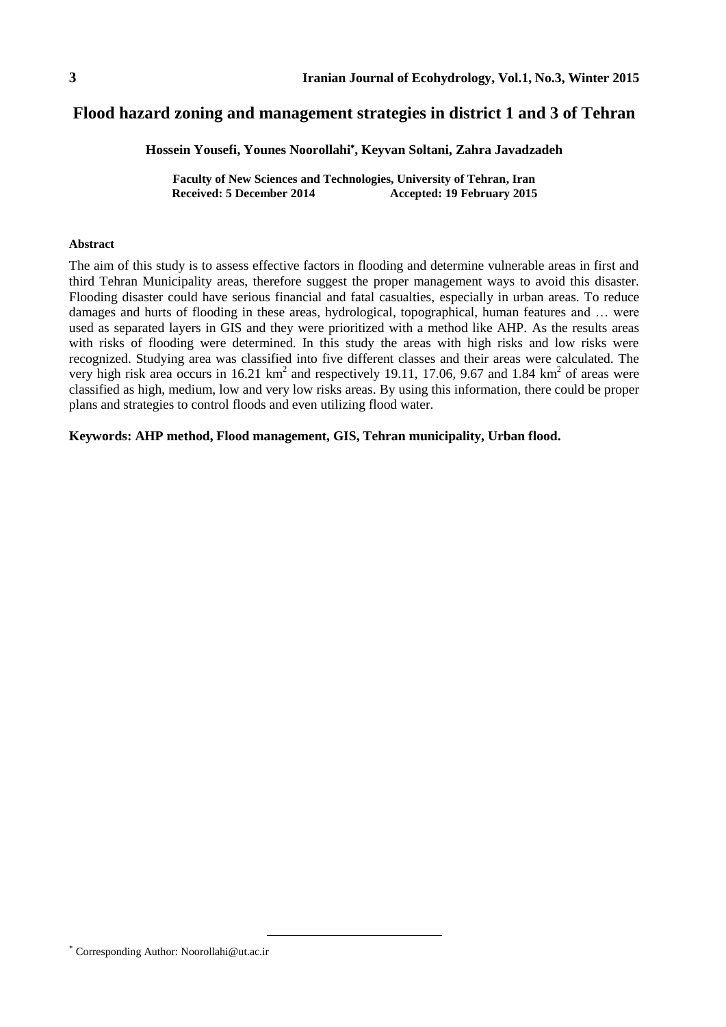# **Flood hazard zoning and management strategies in district 1 and 3 of Tehran**

**Hossein Yousefi, Younes Noorollahi , Keyvan Soltani, Zahra Javadzadeh**

**Faculty of New Sciences and Technologies, University of Tehran, Iran Received: 5 December 2014 Accepted: 19 February 2015**

#### **Abstract**

The aim of this study is to assess effective factors in flooding and determine vulnerable areas in first and third Tehran Municipality areas, therefore suggest the proper management ways to avoid this disaster. Flooding disaster could have serious financial and fatal casualties, especially in urban areas. To reduce damages and hurts of flooding in these areas, hydrological, topographical, human features and … were used as separated layers in GIS and they were prioritized with a method like AHP. As the results areas with risks of flooding were determined. In this study the areas with high risks and low risks were recognized. Studying area was classified into five different classes and their areas were calculated. The very high risk area occurs in 16.21  $km^2$  and respectively 19.11, 17.06, 9.67 and 1.84  $km^2$  of areas were classified as high, medium, low and very low risks areas. By using this information, there could be proper plans and strategies to control floods and even utilizing flood water.

**Keywords: AHP method, Flood management, GIS, Tehran municipality, Urban flood.**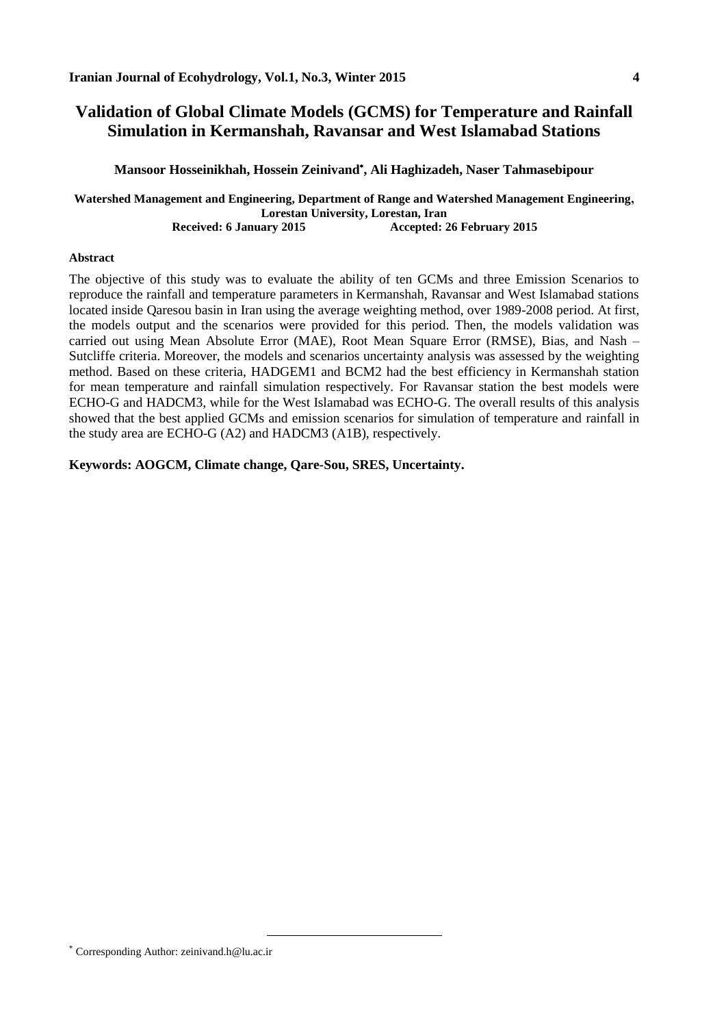# **Validation of Global Climate Models (GCMS) for Temperature and Rainfall Simulation in Kermanshah, Ravansar and West Islamabad Stations**

### **Mansoor Hosseinikhah, Hossein Zeinivand , Ali Haghizadeh, Naser Tahmasebipour**

**Watershed Management and Engineering, Department of Range and Watershed Management Engineering, Lorestan University, Lorestan, Iran Received: 6 January 2015 Accepted: 26 February 2015**

#### **Abstract**

The objective of this study was to evaluate the ability of ten GCMs and three Emission Scenarios to reproduce the rainfall and temperature parameters in Kermanshah, Ravansar and West Islamabad stations located inside Qaresou basin in Iran using the average weighting method, over 1989-2008 period. At first, the models output and the scenarios were provided for this period. Then, the models validation was carried out using Mean Absolute Error (MAE), Root Mean Square Error (RMSE), Bias, and Nash – Sutcliffe criteria. Moreover, the models and scenarios uncertainty analysis was assessed by the weighting method. Based on these criteria, HADGEM1 and BCM2 had the best efficiency in Kermanshah station for mean temperature and rainfall simulation respectively. For Ravansar station the best models were ECHO-G and HADCM3, while for the West Islamabad was ECHO-G. The overall results of this analysis showed that the best applied GCMs and emission scenarios for simulation of temperature and rainfall in the study area are ECHO-G (A2) and HADCM3 (A1B), respectively.

### **Keywords: AOGCM, Climate change, Qare-Sou, SRES, Uncertainty.**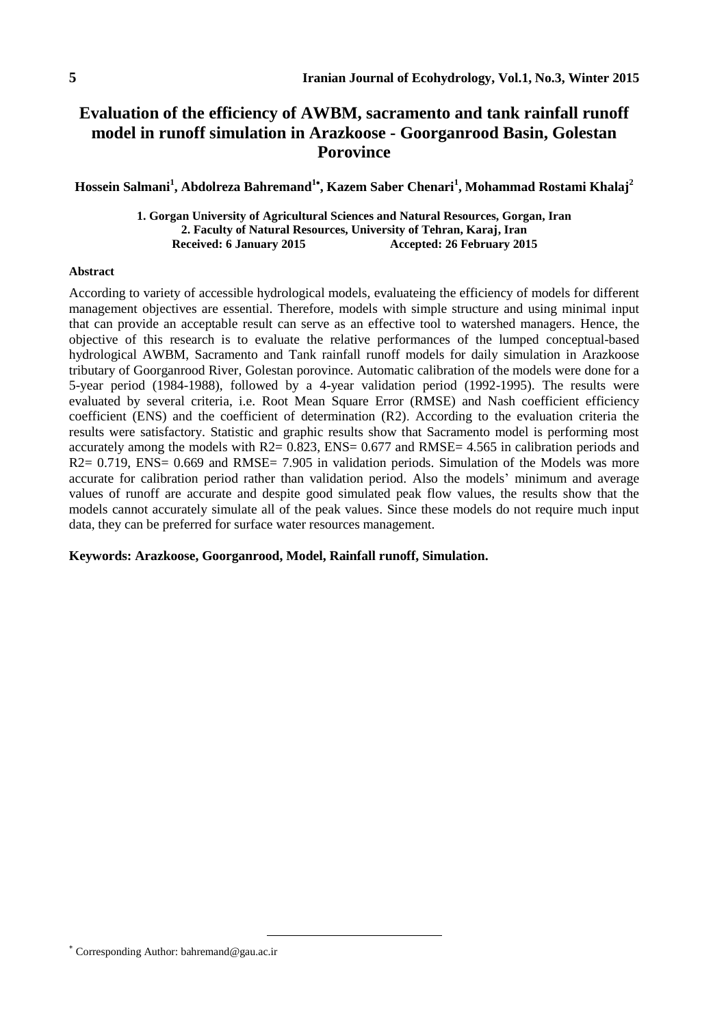# **Evaluation of the efficiency of AWBM, sacramento and tank rainfall runoff model in runoff simulation in Arazkoose - Goorganrood Basin, Golestan Porovince**

**Hossein Salmani<sup>1</sup> , Abdolreza Bahremand<sup>1</sup> , Kazem Saber Chenari<sup>1</sup> , Mohammad Rostami Khalaj<sup>2</sup>**

**1. Gorgan University of Agricultural Sciences and Natural Resources, Gorgan, Iran 2. Faculty of Natural Resources, University of Tehran, Karaj, Iran Received: 6 January 2015 Accepted: 26 February 2015**

#### **Abstract**

According to variety of accessible hydrological models, evaluateing the efficiency of models for different management objectives are essential. Therefore, models with simple structure and using minimal input that can provide an acceptable result can serve as an effective tool to watershed managers. Hence, the objective of this research is to evaluate the relative performances of the lumped conceptual-based hydrological AWBM, Sacramento and Tank rainfall runoff models for daily simulation in Arazkoose tributary of Goorganrood River, Golestan porovince. Automatic calibration of the models were done for a 5-year period (1984-1988), followed by a 4-year validation period (1992-1995). The results were evaluated by several criteria, i.e. Root Mean Square Error (RMSE) and Nash coefficient efficiency coefficient (ENS) and the coefficient of determination (R2). According to the evaluation criteria the results were satisfactory. Statistic and graphic results show that Sacramento model is performing most accurately among the models with R2= 0.823, ENS= 0.677 and RMSE= 4.565 in calibration periods and R2= 0.719, ENS= 0.669 and RMSE= 7.905 in validation periods. Simulation of the Models was more accurate for calibration period rather than validation period. Also the models' minimum and average values of runoff are accurate and despite good simulated peak flow values, the results show that the models cannot accurately simulate all of the peak values. Since these models do not require much input data, they can be preferred for surface water resources management.

#### **Keywords: Arazkoose, Goorganrood, Model, Rainfall runoff, Simulation.**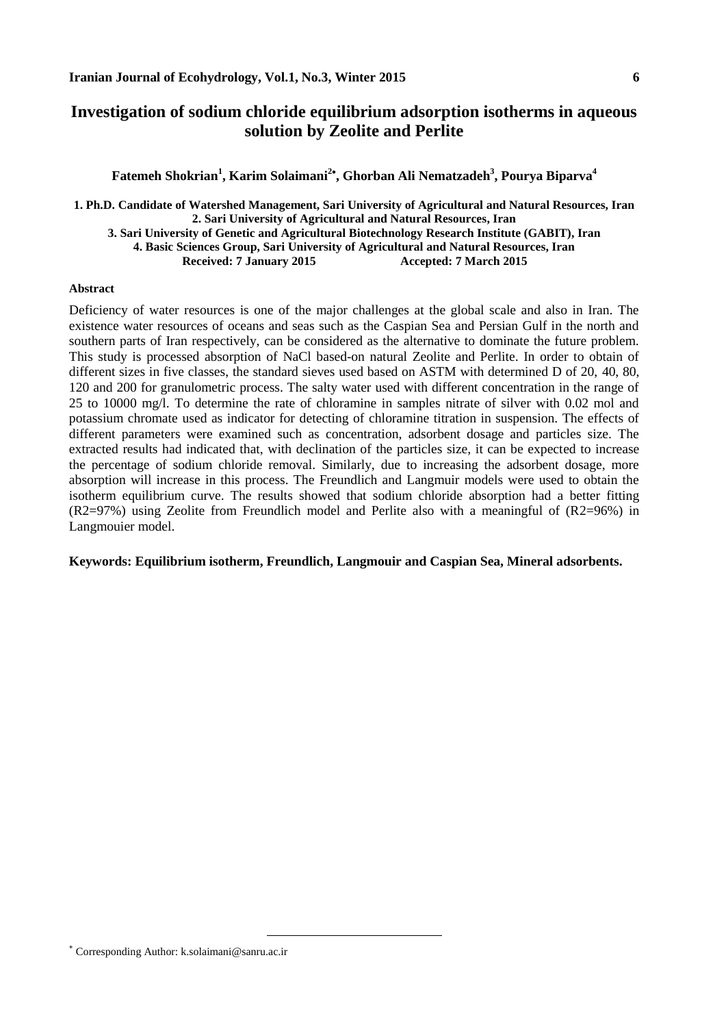# **Investigation of sodium chloride equilibrium adsorption isotherms in aqueous solution by Zeolite and Perlite**

## **Fatemeh Shokrian<sup>1</sup> , Karim Solaimani<sup>2</sup> , Ghorban Ali Nematzadeh<sup>3</sup> , Pourya Biparva<sup>4</sup>**

**1. Ph.D. Candidate of Watershed Management, Sari University of Agricultural and Natural Resources, Iran 2. Sari University of Agricultural and Natural Resources, Iran 3. Sari University of Genetic and Agricultural Biotechnology Research Institute (GABIT), Iran 4. Basic Sciences Group, Sari University of Agricultural and Natural Resources, Iran Received: 7 January 2015** 

#### **Abstract**

Deficiency of water resources is one of the major challenges at the global scale and also in Iran. The existence water resources of oceans and seas such as the Caspian Sea and Persian Gulf in the north and southern parts of Iran respectively, can be considered as the alternative to dominate the future problem. This study is processed absorption of NaCl based-on natural Zeolite and Perlite. In order to obtain of different sizes in five classes, the standard sieves used based on ASTM with determined D of 20, 40, 80, 120 and 200 for granulometric process. The salty water used with different concentration in the range of 25 to 10000 mg/l. To determine the rate of chloramine in samples nitrate of silver with 0.02 mol and potassium chromate used as indicator for detecting of chloramine titration in suspension. The effects of different parameters were examined such as concentration, adsorbent dosage and particles size. The extracted results had indicated that, with declination of the particles size, it can be expected to increase the percentage of sodium chloride removal. Similarly, due to increasing the adsorbent dosage, more absorption will increase in this process. The Freundlich and Langmuir models were used to obtain the isotherm equilibrium curve. The results showed that sodium chloride absorption had a better fitting (R2=97%) using Zeolite from Freundlich model and Perlite also with a meaningful of (R2=96%) in Langmouier model.

### **Keywords: Equilibrium isotherm, Freundlich, Langmouir and Caspian Sea, Mineral adsorbents.**